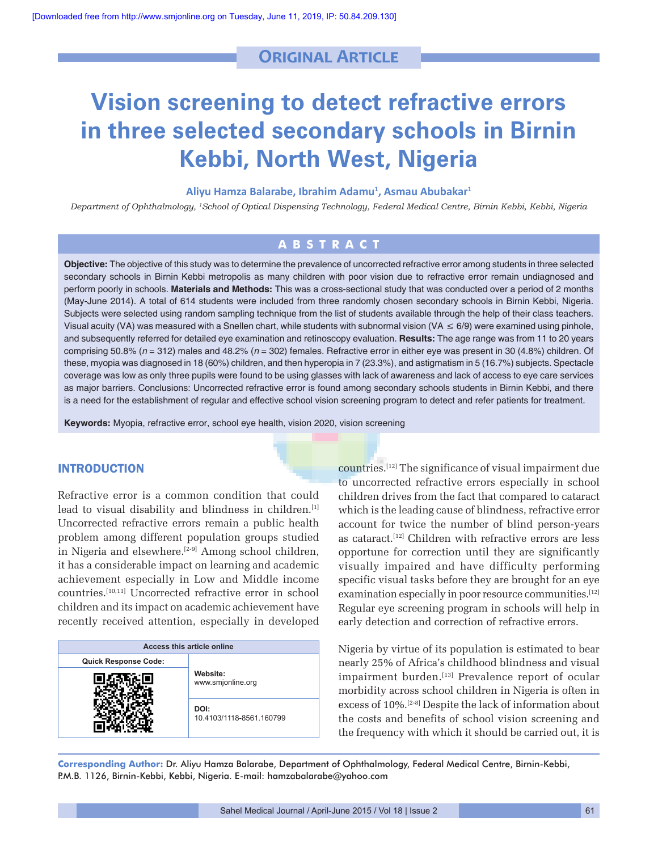# **Original Article**

# **Vision screening to detect refractive errors in three selected secondary schools in Birnin Kebbi, North West, Nigeria**

#### **Aliyu Hamza Balarabe, Ibrahim Adamu1 , Asmau Abubakar1**

*Department of Ophthalmology, 1School of Optical Dispensing Technology, Federal Medical Centre, Birnin Kebbi, Kebbi, Nigeria*

# **ABSTRACT**

**Objective:** The objective of this study was to determine the prevalence of uncorrected refractive error among students in three selected secondary schools in Birnin Kebbi metropolis as many children with poor vision due to refractive error remain undiagnosed and perform poorly in schools. Materials and Methods: This was a cross-sectional study that was conducted over a period of 2 months (May-June 2014). A total of 614 students were included from three randomly chosen secondary schools in Birnin Kebbi, Nigeria. Subjects were selected using random sampling technique from the list of students available through the help of their class teachers. Visual acuity (VA) was measured with a Snellen chart, while students with subnormal vision (VA  $\leq 6/9$ ) were examined using pinhole, and subsequently referred for detailed eye examination and retinoscopy evaluation. **Results:** The age range was from 11 to 20 years comprising 50.8% (*n* = 312) males and 48.2% (*n* = 302) females. Refractive error in either eye was present in 30 (4.8%) children. Of these, myopia was diagnosed in 18 (60%) children, and then hyperopia in 7 (23.3%), and astigmatism in 5 (16.7%) subjects. Spectacle coverage was low as only three pupils were found to be using glasses with lack of awareness and lack of access to eye care services as major barriers. Conclusions: Uncorrected refractive error is found among secondary schools students in Birnin Kebbi, and there is a need for the establishment of regular and effective school vision screening program to detect and refer patients for treatment.

**Keywords:** Myopia, refractive error, school eye health, vision 2020, vision screening

### INTRODUCTION

Refractive error is a common condition that could lead to visual disability and blindness in children.[1] Uncorrected refractive errors remain a public health problem among different population groups studied in Nigeria and elsewhere.<sup>[2-9]</sup> Among school children, it has a considerable impact on learning and academic achievement especially in Low and Middle income countries.[10,11] Uncorrected refractive error in school children and its impact on academic achievement have recently received attention, especially in developed

| <b>Access this article online</b> |                                  |  |
|-----------------------------------|----------------------------------|--|
| <b>Quick Response Code:</b>       | Website:<br>www.smjonline.org    |  |
|                                   |                                  |  |
|                                   | DOI:<br>10.4103/1118-8561.160799 |  |

countries.[12] The significance of visual impairment due to uncorrected refractive errors especially in school children drives from the fact that compared to cataract which is the leading cause of blindness, refractive error account for twice the number of blind person‑years as cataract.<sup>[12]</sup> Children with refractive errors are less opportune for correction until they are significantly visually impaired and have difficulty performing specific visual tasks before they are brought for an eye examination especially in poor resource communities.<sup>[12]</sup> Regular eye screening program in schools will help in early detection and correction of refractive errors.

Nigeria by virtue of its population is estimated to bear nearly 25% of Africa's childhood blindness and visual impairment burden.<sup>[13]</sup> Prevalence report of ocular morbidity across school children in Nigeria is often in excess of 10%.<sup>[2-8]</sup> Despite the lack of information about the costs and benefits of school vision screening and the frequency with which it should be carried out, it is

**Corresponding Author:** Dr. Aliyu Hamza Balarabe, Department of Ophthalmology, Federal Medical Centre, Birnin‑Kebbi, P.M.B. 1126, Birnin‑Kebbi, Kebbi, Nigeria. E‑mail: hamzabalarabe@yahoo.com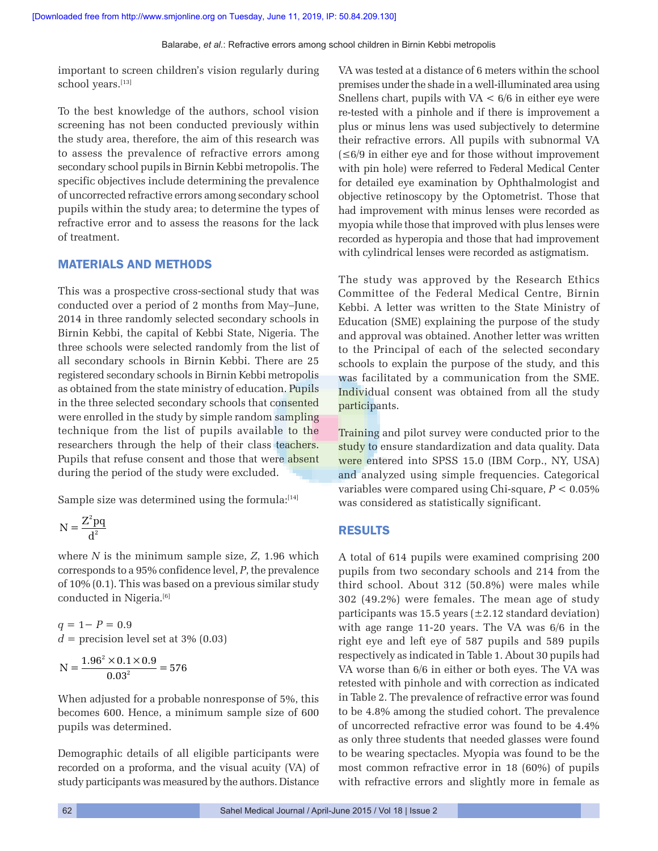important to screen children's vision regularly during school years.[13]

To the best knowledge of the authors, school vision screening has not been conducted previously within the study area, therefore, the aim of this research was to assess the prevalence of refractive errors among secondary school pupils in Birnin Kebbi metropolis. The specific objectives include determining the prevalence of uncorrected refractive errors among secondary school pupils within the study area; to determine the types of refractive error and to assess the reasons for the lack of treatment.

#### MATERIALS AND METHODS

This was a prospective cross‑sectional study that was conducted over a period of 2 months from May–June, 2014 in three randomly selected secondary schools in Birnin Kebbi, the capital of Kebbi State, Nigeria. The three schools were selected randomly from the list of all secondary schools in Birnin Kebbi. There are 25 registered secondary schools in Birnin Kebbi metropolis as obtained from the state ministry of education. Pupils in the three selected secondary schools that consented were enrolled in the study by simple random sampling technique from the list of pupils available to the researchers through the help of their class teachers. Pupils that refuse consent and those that were absent during the period of the study were excluded.

Sample size was determined using the formula: $[14]$ 

$$
N = \frac{Z^2pq}{d^2}
$$

where *N* is the minimum sample size, *Z*, 1.96 which corresponds to a 95% confidence level, *P*, the prevalence of 10% (0.1). This was based on a previous similar study conducted in Nigeria.<sup>[6]</sup>

*q* = 1− *P* = 0.9  $d =$  precision level set at 3%  $(0.03)$ 

$$
N = \frac{1.96^2 \times 0.1 \times 0.9}{0.03^2} = 576
$$

When adjusted for a probable nonresponse of 5%, this becomes 600. Hence, a minimum sample size of 600 pupils was determined.

Demographic details of all eligible participants were recorded on a proforma, and the visual acuity (VA) of study participants was measured by the authors. Distance VA was tested at a distance of 6 meters within the school premises under the shade in a well‑illuminated area using Snellens chart, pupils with  $VA < 6/6$  in either eye were re‑tested with a pinhole and if there is improvement a plus or minus lens was used subjectively to determine their refractive errors. All pupils with subnormal VA (≤6/9 in either eye and for those without improvement with pin hole) were referred to Federal Medical Center for detailed eye examination by Ophthalmologist and objective retinoscopy by the Optometrist. Those that had improvement with minus lenses were recorded as myopia while those that improved with plus lenses were recorded as hyperopia and those that had improvement with cylindrical lenses were recorded as astigmatism.

The study was approved by the Research Ethics Committee of the Federal Medical Centre, Birnin Kebbi. A letter was written to the State Ministry of Education (SME) explaining the purpose of the study and approval was obtained. Another letter was written to the Principal of each of the selected secondary schools to explain the purpose of the study, and this was facilitated by a communication from the SME. Individual consent was obtained from all the study participants.

Training and pilot survey were conducted prior to the study to ensure standardization and data quality. Data were entered into SPSS 15.0 (IBM Corp., NY, USA) and analyzed using simple frequencies. Categorical variables were compared using Chi‑square, *P* < 0.05% was considered as statistically significant.

#### RESULTS

A total of 614 pupils were examined comprising 200 pupils from two secondary schools and 214 from the third school. About 312 (50.8%) were males while 302 (49.2%) were females. The mean age of study participants was 15.5 years  $(\pm 2.12 \text{ standard deviation})$ with age range 11-20 years. The VA was 6/6 in the right eye and left eye of 587 pupils and 589 pupils respectively as indicated in Table 1. About 30 pupils had VA worse than 6/6 in either or both eyes. The VA was retested with pinhole and with correction as indicated in Table 2. The prevalence of refractive error was found to be 4.8% among the studied cohort. The prevalence of uncorrected refractive error was found to be 4.4% as only three students that needed glasses were found to be wearing spectacles. Myopia was found to be the most common refractive error in 18 (60%) of pupils with refractive errors and slightly more in female as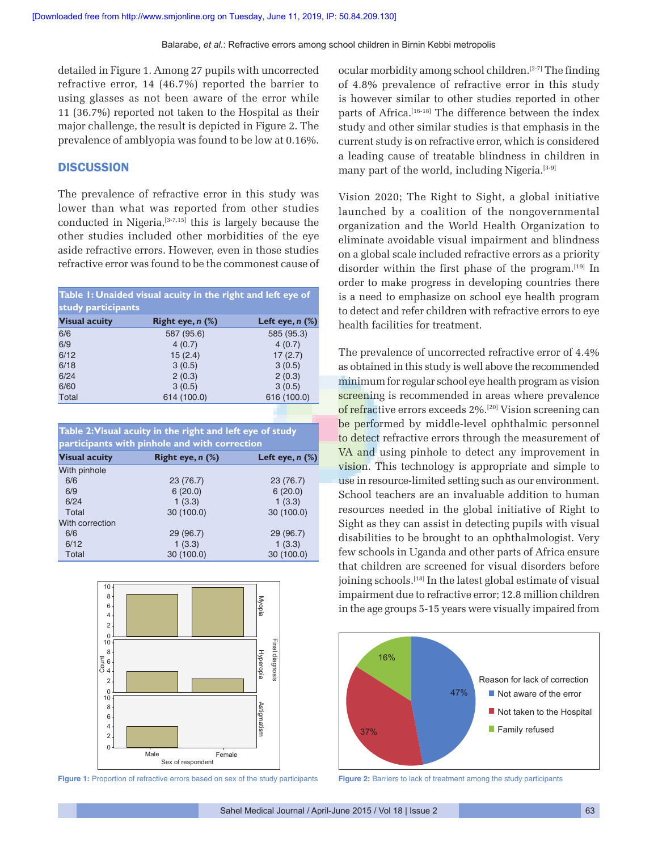detailed in Figure 1. Among 27 pupils with uncorrected refractive error, 14 (46.7%) reported the barrier to using glasses as not been aware of the error while 11 (36.7%) reported not taken to the Hospital as their major challenge, the result is depicted in Figure 2. The prevalence of amblyopia was found to be low at 0.16%.

#### **DISCUSSION**

The prevalence of refractive error in this study was lower than what was reported from other studies conducted in Nigeria,<sup>[3-7,15]</sup> this is largely because the other studies included other morbidities of the eye aside refractive errors. However, even in those studies refractive error was found to be the commonest cause of

| Table 1: Unaided visual acuity in the right and left eye of |                       |                      |  |
|-------------------------------------------------------------|-----------------------|----------------------|--|
| study participants                                          |                       |                      |  |
| <b>Visual acuity</b>                                        | Right eye, $n$ $(\%)$ | Left eye, $n$ $(\%)$ |  |
| 6/6                                                         | 587 (95.6)            | 585 (95.3)           |  |
| 6/9                                                         | 4(0.7)                | 4(0.7)               |  |
| 6/12                                                        | 15(2.4)               | 17(2.7)              |  |
| 6/18                                                        | 3(0.5)                | 3(0.5)               |  |
| 6/24                                                        | 2(0.3)                | 2(0.3)               |  |
| 6/60                                                        | 3(0.5)                | 3(0.5)               |  |
| Total                                                       | 614 (100.0)           | 616 (100.0)          |  |

**Table 2: Visual acuity in the right and left eye of study participants with pinhole and with correction**

| <b>Visual acuity</b> | Right eye, $n$ $(\%)$ | Left eye, $n$ $(\%)$ |
|----------------------|-----------------------|----------------------|
| With pinhole         |                       |                      |
| 6/6                  | 23 (76.7)             | 23 (76.7)            |
| 6/9                  | 6(20.0)               | 6(20.0)              |
| 6/24                 | 1(3.3)                | 1(3.3)               |
| Total                | 30 (100.0)            | 30 (100.0)           |
| With correction      |                       |                      |
| 6/6                  | 29 (96.7)             | 29 (96.7)            |
| 6/12                 | 1(3.3)                | 1(3.3)               |
| Total                | 30 (100.0)            | 30 (100.0)           |



**Figure 1:** Proportion of refractive errors based on sex of the study participants

ocular morbidity among school children.[2‑7] The finding of 4.8% prevalence of refractive error in this study is however similar to other studies reported in other parts of Africa.<sup>[16-18]</sup> The difference between the index study and other similar studies is that emphasis in the current study is on refractive error, which is considered a leading cause of treatable blindness in children in many part of the world, including Nigeria.<sup>[3-9]</sup>

Vision 2020; The Right to Sight, a global initiative launched by a coalition of the nongovernmental organization and the World Health Organization to eliminate avoidable visual impairment and blindness on a global scale included refractive errors as a priority disorder within the first phase of the program.[19] In order to make progress in developing countries there is a need to emphasize on school eye health program to detect and refer children with refractive errors to eye health facilities for treatment.

The prevalence of uncorrected refractive error of 4.4% as obtained in this study is well above the recommended minimum for regular school eye health program as vision screening is recommended in areas where prevalence of refractive errors exceeds 2%.[20] Vision screening can be performed by middle-level ophthalmic personnel to detect refractive errors through the measurement of VA and using pinhole to detect any improvement in vision. This technology is appropriate and simple to use in resource-limited setting such as our environment. School teachers are an invaluable addition to human resources needed in the global initiative of Right to Sight as they can assist in detecting pupils with visual disabilities to be brought to an ophthalmologist. Very few schools in Uganda and other parts of Africa ensure that children are screened for visual disorders before joining schools.<sup>[18]</sup> In the latest global estimate of visual impairment due to refractive error; 12.8 million children in the age groups 5-15 years were visually impaired from



**Figure 2:** Barriers to lack of treatment among the study participants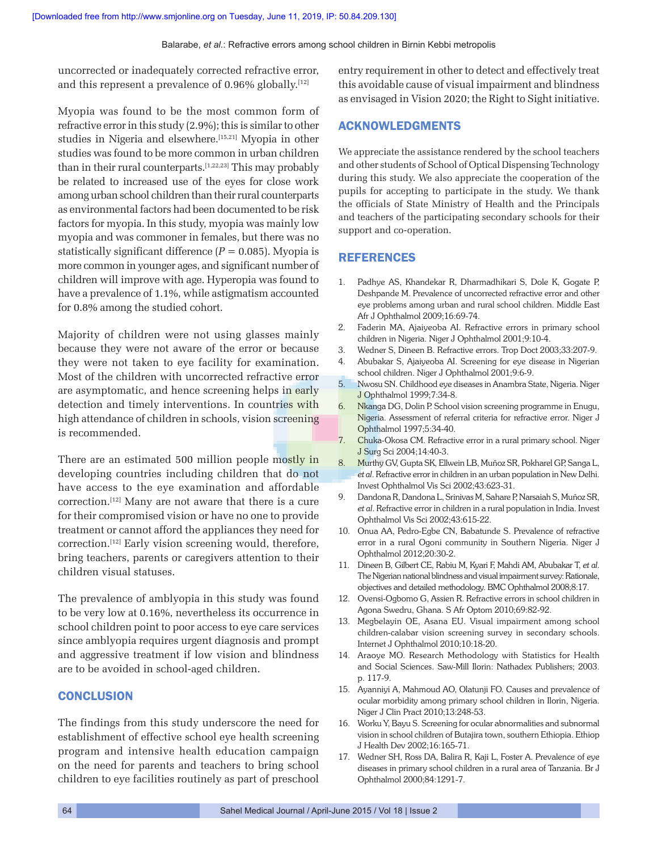uncorrected or inadequately corrected refractive error, and this represent a prevalence of  $0.96\%$  globally.<sup>[12]</sup>

Myopia was found to be the most common form of refractive error in this study (2.9%); this is similar to other studies in Nigeria and elsewhere.[15,21] Myopia in other studies was found to be more common in urban children than in their rural counterparts.[1,22,23] This may probably be related to increased use of the eyes for close work among urban school children than their rural counterparts as environmental factors had been documented to be risk factors for myopia. In this study, myopia was mainly low myopia and was commoner in females, but there was no statistically significant difference  $(P = 0.085)$ . Myopia is more common in younger ages, and significant number of children will improve with age. Hyperopia was found to have a prevalence of 1.1%, while astigmatism accounted for 0.8% among the studied cohort.

Majority of children were not using glasses mainly because they were not aware of the error or because they were not taken to eye facility for examination. Most of the children with uncorrected refractive error are asymptomatic, and hence screening helps in early detection and timely interventions. In countries with high attendance of children in schools, vision screening is recommended.

There are an estimated 500 million people mostly in developing countries including children that do not have access to the eye examination and affordable correction.[12] Many are not aware that there is a cure for their compromised vision or have no one to provide treatment or cannot afford the appliances they need for correction.[12] Early vision screening would, therefore, bring teachers, parents or caregivers attention to their children visual statuses.

The prevalence of amblyopia in this study was found to be very low at 0.16%, nevertheless its occurrence in school children point to poor access to eye care services since amblyopia requires urgent diagnosis and prompt and aggressive treatment if low vision and blindness are to be avoided in school‑aged children.

#### **CONCLUSION**

The findings from this study underscore the need for establishment of effective school eye health screening program and intensive health education campaign on the need for parents and teachers to bring school children to eye facilities routinely as part of preschool

entry requirement in other to detect and effectively treat this avoidable cause of visual impairment and blindness as envisaged in Vision 2020; the Right to Sight initiative.

#### ACKNOWLEDGMENTS

We appreciate the assistance rendered by the school teachers and other students of School of Optical Dispensing Technology during this study. We also appreciate the cooperation of the pupils for accepting to participate in the study. We thank the officials of State Ministry of Health and the Principals and teachers of the participating secondary schools for their support and co-operation.

# REFERENCES

- 1. Padhye AS, Khandekar R, Dharmadhikari S, Dole K, Gogate P, Deshpande M. Prevalence of uncorrected refractive error and other eye problems among urban and rural school children. Middle East Afr J Ophthalmol 2009;16:69‑74.
- 2. Faderin MA, Ajaiyeoba AI. Refractive errors in primary school children in Nigeria. Niger J Ophthalmol 2001;9:10-4.
- 3. Wedner S, Dineen B. Refractive errors. Trop Doct 2003;33:207‑9.
- 4. Abubakar S, Ajaiyeoba AI. Screening for eye disease in Nigerian school children. Niger J Ophthalmol 2001;9:6‑9.
- 5. Nwosu SN. Childhood eye diseases in Anambra State, Nigeria. Niger J Ophthalmol 1999;7:34‑8.
- 6. Nkanga DG, Dolin P. School vision screening programme in Enugu, Nigeria. Assessment of referral criteria for refractive error. Niger J Ophthalmol 1997;5:34‑40.
- 7. Chuka‑Okosa CM. Refractive error in a rural primary school. Niger J Surg Sci 2004;14:40‑3.
- 8. Murthy GV, Gupta SK, Ellwein LB, Muñoz SR, Pokharel GP, Sanga L, *et al*. Refractive error in children in an urban population in New Delhi. Invest Ophthalmol Vis Sci 2002;43:623‑31.
- 9. Dandona R, Dandona L, Srinivas M, Sahare P, Narsaiah S, Muñoz SR, *et al*. Refractive error in children in a rural population in India. Invest Ophthalmol Vis Sci 2002;43:615‑22.
- 10. Onua AA, Pedro‑Egbe CN, Babatunde S. Prevalence of refractive error in a rural Ogoni community in Southern Nigeria. Niger J Ophthalmol 2012;20:30‑2.
- 11. Dineen B, Gilbert CE, Rabiu M, Kyari F, Mahdi AM, Abubakar T, *et al*. The Nigerian national blindness and visual impairment survey: Rationale, objectives and detailed methodology. BMC Ophthalmol 2008;8:17.
- 12. Ovensi‑Ogbomo G, Assien R. Refractive errors in school children in Agona Swedru, Ghana. S Afr Optom 2010;69:82‑92.
- 13. Megbelayin OE, Asana EU. Visual impairment among school children-calabar vision screening survey in secondary schools. Internet J Ophthalmol 2010;10:18‑20.
- 14. Araoye MO. Research Methodology with Statistics for Health and Social Sciences. Saw‑Mill Ilorin: Nathadex Publishers; 2003. p. 117‑9.
- 15. Ayanniyi A, Mahmoud AO, Olatunji FO. Causes and prevalence of ocular morbidity among primary school children in Ilorin, Nigeria. Niger J Clin Pract 2010;13:248‑53.
- 16. Worku Y, Bayu S. Screening for ocular abnormalities and subnormal vision in school children of Butajira town, southern Ethiopia. Ethiop J Health Dev 2002;16:165‑71.
- 17. Wedner SH, Ross DA, Balira R, Kaji L, Foster A. Prevalence of eye diseases in primary school children in a rural area of Tanzania. Br J Ophthalmol 2000;84:1291‑7.